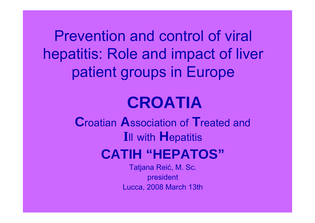Prevention and control of viral hepatitis: Role and impact of liver patient groups in Europe

# **CROATIA**

**C**roatian **A**ssociation of **T**reated and **I**ll with **H**epatitis

#### **CATIH "HEPATOS"**

Tatjana Rei ć, M. Sc. president Lucca, 2008 March 13th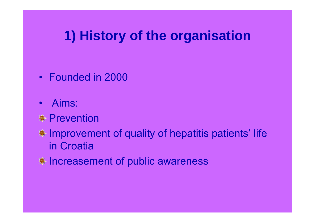# **1) History of the organisation**

- Founded in 2000
- $\bullet$ Aims:
- **← Prevention**
- Improvement of quality of hepatitis patients' life in Croatia
- Increasement of public awareness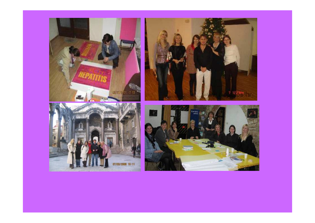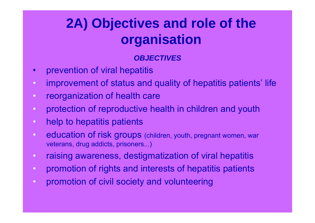# **2A) Objectives and role of the organisation**

#### *OBJECTIVES*

- $\bullet$ prevention of viral hepatitis
- $\bullet$ improvement of status and quality of hepatitis patients' life
- $\bullet$ reorganization of health care
- $\bullet$ protection of reproductive health in children and youth
- $\bullet$ help to hepatitis patients
- $\bullet$  education of risk groups (children, youth, pregnant women, war veterans, drug addicts, prisoners...)
- $\bullet$ raising awareness, destigmatization of viral hepatitis
- $\bullet$ promotion of rights and interests of hepatitis patients
- $\bullet$ promotion of civil society and volunteering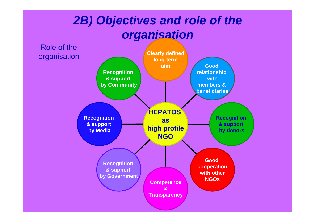#### *2B) Objectives and role of the organisation*

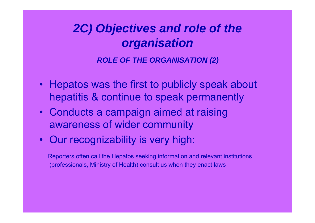#### *2C) Objectives and role of the organisation*

*ROLE OF THE ORGANISATION (2)*

- Hepatos was the first to publicly speak about hepatitis & continue to speak permanently
- Conducts a campaign aimed at raising awareness of wider community
- Our recognizability is very high:

Reporters often call the Hepatos seeking information and relevant institutions (professionals, Ministry of Health) consult us when they enact laws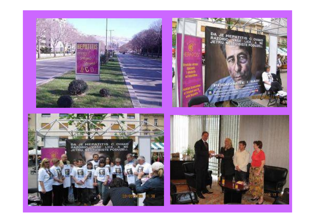





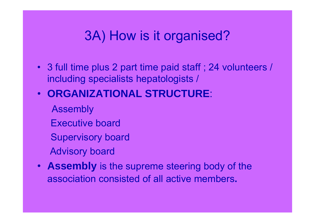### 3A) How is it organised?

- 3 full time plus 2 part time paid staff ; 24 volunteers / including specialists hepatologists /
- **ORGANIZATIONAL STRUCTURE**:

Assembly

Executive board

Supervisory board

Advisory board

• **Assembly** is the supreme steering body of the association consisted of all active members**.**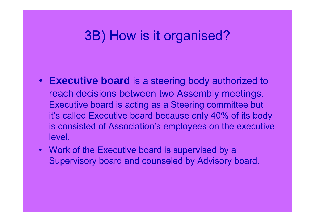#### 3B) How is it organised?

- **Executive board** is a steering body authorized to reach decisions between two Assembly meetings. Executive board is acting as a Steering committee but it's called Executive board because only 40% of its body is consisted of Association's employees on the executive level.
- Work of the Executive board is supervised by a Supervisory board and counseled by Advisory board.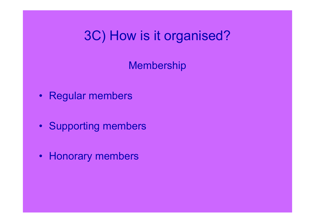#### 3C) How is it organised?

**Membership** 

- Regular members
- Supporting members
- Honorary members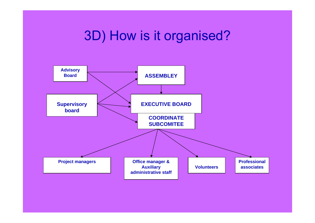#### 3D) How is it organised?

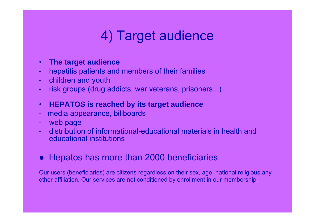# 4) Target audience

#### • **The target audience**

- hepatitis patients and members of their families
- -- children and youth
- risk groups (drug addicts, war veterans, prisoners...)

#### •**HEPATOS is reached by its target audience**

- media appearance, billboards
- web page
- distribution of informational-educational materials in health and educational institutions

#### ● Hepatos has more than 2000 beneficiaries

Our users (beneficiaries) are citizens regardless on their sex, age, national religious any other affiliation. Our services are not conditioned by enrollment in our membership.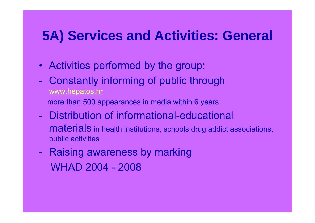#### **5A) Services and Activities: General**

- Activities performed by the group:
- Constantly informing of public through [www.hepatos.hr](http://www.hepatos.hr/) more than 500 appearances in media within 6 years
- Distribution of informational-educational  $\sf{materials}$  in health institutions, schools drug addict associations, public activities
- $\mathcal{L}_{\mathcal{A}}$  Raising awareness by marking WHAD 2004 - 2008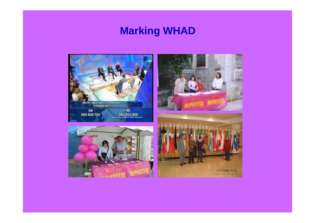#### **Marking WHAD**

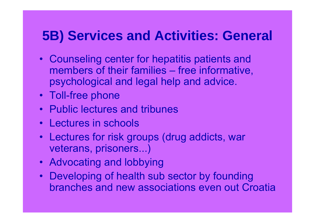#### **5B) Services and Activities: General**

- Counseling center for hepatitis patients and members of their families – free informative, psychological and legal help and advice.
- Toll-free phone
- Public lectures and tribunes
- Lectures in schools
- Lectures for risk groups (drug addicts, war veterans, prisoners...)
- Advocating and lobbying
- Developing of health sub sector by founding branches and new associations even out Croatia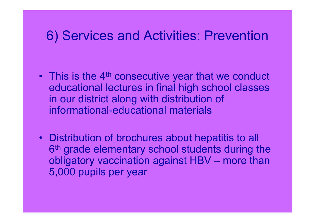#### 6) Services and Activities: Prevention

- •• This is the 4<sup>th</sup> consecutive year that we conduct educational lectures in final high school classes in our district along with distribution of informational-educational materials
- Distribution of brochures about hepatitis to all 6<sup>th</sup> grade elementary school students during the obligatory vaccination against HBV – more than 5,000 pupils per year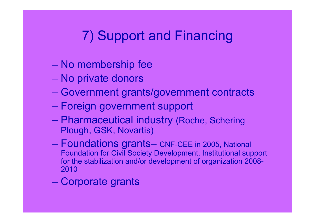# 7) Support and Financing

- No membership fee
- No private donors
- Government grants/government contracts
- Foreign government support
- Pharmaceutical industry (Roche, Schering Plough, GSK, Novartis)
- Foundations grants– CNF-CEE in 2005, National Foundation for Civil Society Development, Institutional support for the stabilization and/or development of organization 2008- 2010
- Corporate grants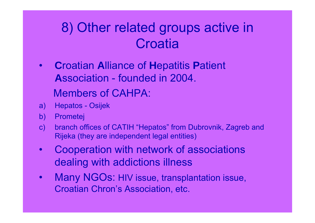#### 8) Other related groups active in **Croatia**

- $\bullet$ **C**roatian **A**lliance of **H**epatitis **P**atient **A**ssociation - founded in 2004. Members of CAHPA:
- a) Hepatos Osijek
- b) Prometej
- c) branch offices of CATIH "Hepatos" from Dubrovnik, Zagreb and Rijeka (they are independent legal entities)
- $\bullet$  Cooperation with network of associations dealing with addictions illness
- $\bullet$  Many NGOs: HIV issue, transplantation issue, Croatian Chron's Association, etc.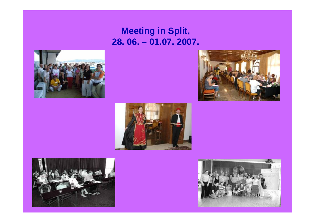#### **Meeting in Split, 28. 06. – 01.07. 2007.**









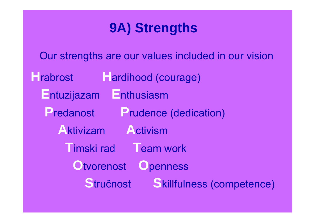#### **9A) Strengths**

Our strengths are our values included in our vision **H**rabrost **H**ardihood (courage) **E**ntuzijazam **E**nthusiasm Predanost Prudence (dedication) **A**ktivizam **A**ctivism **Timski rad T**eam work **O**tvorenost **O**penness Stručnost Skillfulness (competence)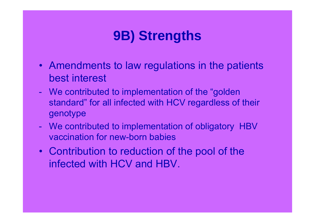# **9B) Strengths**

- Amendments to law regulations in the patients best interest
- We contributed to implementation of the "golden standard" for all infected with HCV regardless of their genotype
- -- We contributed to implementation of obligatory HBV vaccination for new-born babies
- Contribution to reduction of the pool of the infected with HCV and HBV.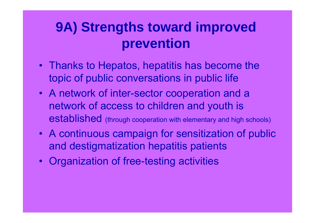# **9A) Strengths toward improved prevention**

- Thanks to Hepatos, hepatitis has become the topic of public conversations in public life
- A network of inter-sector cooperation and a network of access to children and youth is established (through cooperation with elementary and high schools)
- A continuous campaign for sensitization of public and destigmatization hepatitis patients
- Organization of free-testing activities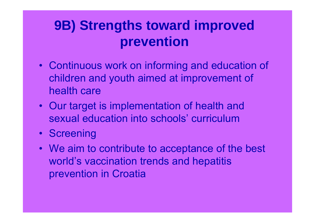## **9B) Strengths toward improved prevention**

- Continuous work on informing and education of children and youth aimed at improvement of health care
- Our target is implementation of health and sexual education into schools' curriculum
- Screening
- We aim to contribute to acceptance of the best world's vaccination trends and hepatitis prevention in Croatia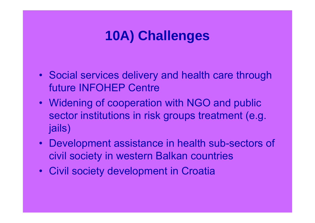# **10A) Challenges**

- Social services delivery and health care through future INFOHEP Centre
- Widening of cooperation with NGO and public sector institutions in risk groups treatment (e.g. jails)
- Development assistance in health sub-sectors of civil society in western Balkan countries
- Civil society development in Croatia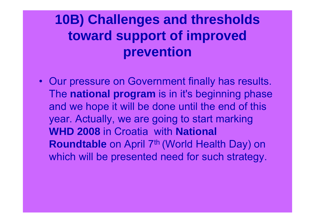#### **10B) Challenges and thresholds toward support of improved prevention**

• Our pressure on Government finally has results. The **national program** is in it's beginning phase and we hope it will be done until the end of this year. Actually, we are going to start marking **WHD 2008** in Croatia with **National Roundtable** on April 7<sup>th</sup> (World Health Day) on which will be presented need for such strategy.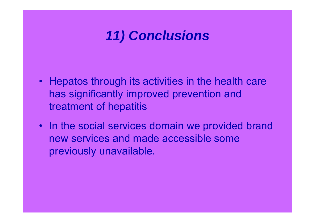# *11) Conclusions*

- Hepatos through its activities in the health care has significantly improved prevention and treatment of hepatitis
- In the social services domain we provided brand new services and made accessible some previously unavailable.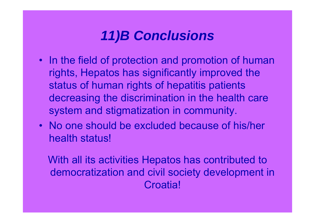# *11)B Conclusions*

- In the field of protection and promotion of human rights, Hepatos has significantly improved the status of human rights of hepatitis patients decreasing the discrimination in the health care system and stigmatization in community.
- No one should be excluded because of his/her health status!

With all its activities Hepatos has contributed to democratization and civil society development in Croatia!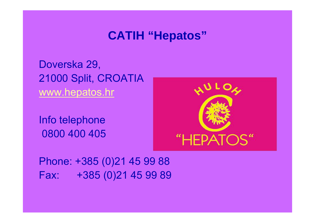#### **CATIH "Hepatos"**

Doverska 29, 21000 Split, CROATIA [www.hepatos.hr](http://www.hepatos.hr/)

Info telephone 0800 400 405



Phone: +385 (0)21 45 99 88 Fax: +385 (0)21 45 99 89